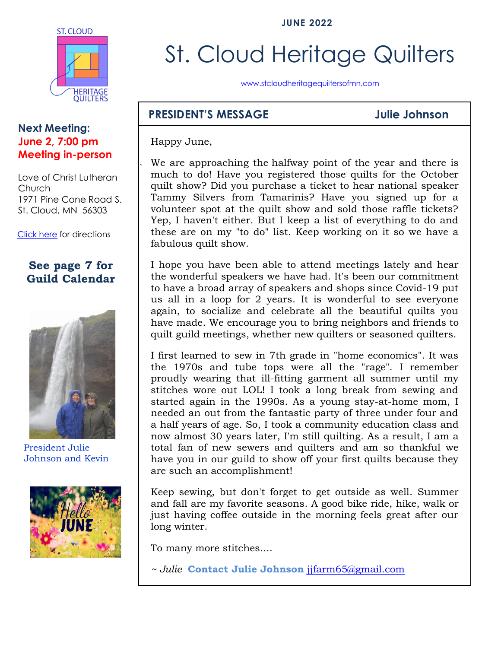**JUNE 2022**



#### **Next Meeting: June 2, 7:00 pm Meeting in-person**

Love of Christ Lutheran Church 1971 Pine Cone Road S. St. Cloud, MN 56303

[Click here](https://www.google.com/maps/place/1971+Pine+Cone+Rd+S,+St+Cloud,+MN+56303/@45.5853668,-94.2232814,678m/data=!3m1!1e3!4m2!3m1!1s0x52b45e9135499525:0x62d24bbada5743a8?hl=en) for directions

### **See page 7 for Guild Calendar**



President Julie Johnson and Kevin



# St. Cloud Heritage Quilters

[www.stcloudheritagequiltersofmn.com](http://www.stcloudheritagequiltersofmn.com/)

### **PRESIDENT'S MESSAGE Julie Johnson**

Happy June,

`

We are approaching the halfway point of the year and there is much to do! Have you registered those quilts for the October quilt show? Did you purchase a ticket to hear national speaker Tammy Silvers from Tamarinis? Have you signed up for a volunteer spot at the quilt show and sold those raffle tickets? Yep, I haven't either. But I keep a list of everything to do and these are on my "to do" list. Keep working on it so we have a fabulous quilt show.

I hope you have been able to attend meetings lately and hear the wonderful speakers we have had. It's been our commitment to have a broad array of speakers and shops since Covid-19 put us all in a loop for 2 years. It is wonderful to see everyone again, to socialize and celebrate all the beautiful quilts you have made. We encourage you to bring neighbors and friends to quilt guild meetings, whether new quilters or seasoned quilters.

I first learned to sew in 7th grade in "home economics". It was the 1970s and tube tops were all the "rage". I remember proudly wearing that ill-fitting garment all summer until my stitches wore out LOL! I took a long break from sewing and started again in the 1990s. As a young stay-at-home mom, I needed an out from the fantastic party of three under four and a half years of age. So, I took a community education class and now almost 30 years later, I'm still quilting. As a result, I am a total fan of new sewers and quilters and am so thankful we have you in our guild to show off your first quilts because they are such an accomplishment!

Keep sewing, but don't forget to get outside as well. Summer and fall are my favorite seasons. A good bike ride, hike, walk or just having coffee outside in the morning feels great after our long winter.

To many more stitches....

*~ Julie* **Contact Julie Johnson** [jjfarm65@gmail.com](mailto:jjfarm65@gmail.com)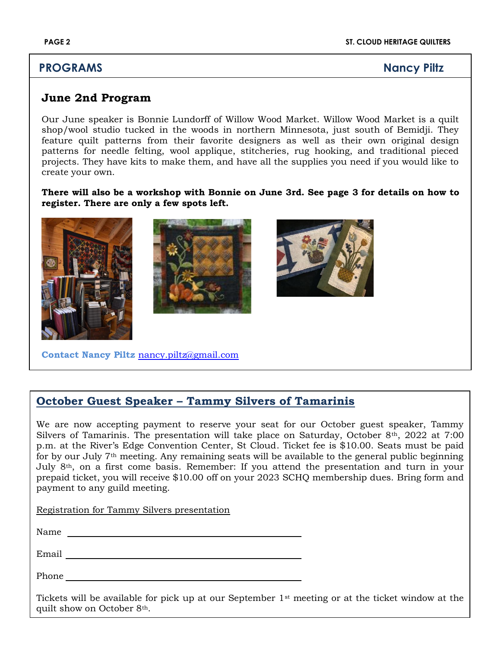### **PROGRAMS Nancy Piltz**

#### **June 2nd Program**

Our June speaker is Bonnie Lundorff of Willow Wood Market. Willow Wood Market is a quilt shop/wool studio tucked in the woods in northern Minnesota, just south of Bemidji. They feature quilt patterns from their favorite designers as well as their own original design patterns for needle felting, wool applique, stitcheries, rug hooking, and traditional pieced projects. They have kits to make them, and have all the supplies you need if you would like to create your own.

**There will also be a workshop with Bonnie on June 3rd. See page 3 for details on how to register. There are only a few spots left.**



#### **October Guest Speaker – Tammy Silvers of Tamarinis**

We are now accepting payment to reserve your seat for our October guest speaker, Tammy Silvers of Tamarinis. The presentation will take place on Saturday, October 8th, 2022 at 7:00 p.m. at the River's Edge Convention Center, St Cloud. Ticket fee is \$10.00. Seats must be paid for by our July 7th meeting. Any remaining seats will be available to the general public beginning July 8th, on a first come basis. Remember: If you attend the presentation and turn in your prepaid ticket, you will receive \$10.00 off on your 2023 SCHQ membership dues. Bring form and payment to any guild meeting.

Registration for Tammy Silvers presentation

| Name |  |  |
|------|--|--|
|      |  |  |

Email

Phone **Phone** 

Tickets will be available for pick up at our September 1st meeting or at the ticket window at the quilt show on October 8th.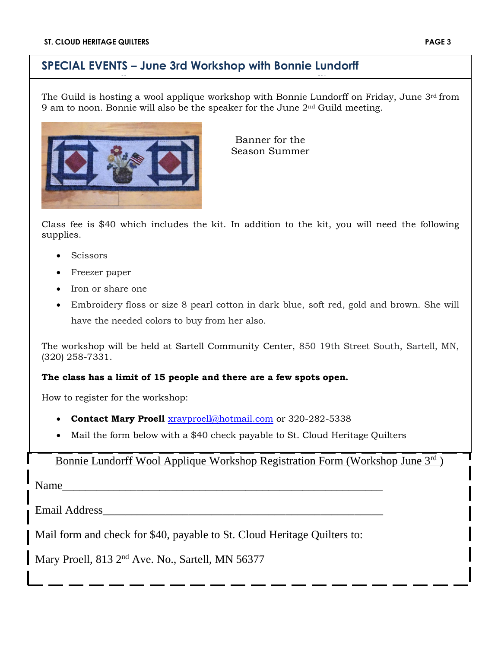### **SPECIAL EVENTS – June 3rd Workshop with Bonnie Lundorff Mary Proell Nancy Piltz**

The Guild is hosting a wool applique workshop with Bonnie Lundorff on Friday, June  $3<sup>rd</sup>$  from 9 am to noon. Bonnie will also be the speaker for the June 2nd Guild meeting.



Banner for the Season Summer

Class fee is \$40 which includes the kit. In addition to the kit, you will need the following supplies.

- **Scissors**
- Freezer paper
- Iron or share one
- Embroidery floss or size 8 pearl cotton in dark blue, soft red, gold and brown. She will have the needed colors to buy from her also.

The workshop will be held at Sartell Community Center, 850 19th Street South, Sartell, MN, [\(320\) 258-7331.](https://www.google.com/search?q=sartell+community+center&rlz=1C1CHZO_enUS923US923&oq=sartell+community+center&aqs=chrome..69i57j46i175i199i512j0i512j0i457i512.4235j0j9&sourceid=chrome&ie=UTF-8)

#### **The class has a limit of 15 people and there are a few spots open.**

How to register for the workshop:

- **Contact Mary Proell** [xrayproell@hotmail.com](mailto:xrayproell@hotmail.com) or 320-282-5338
- Mail the form below with a \$40 check payable to St. Cloud Heritage Quilters

#### Bonnie Lundorff Wool Applique Workshop Registration Form (Workshop June 3rd )

Name

Email Address\_\_\_\_\_\_\_\_\_\_\_\_\_\_\_\_\_\_\_\_\_\_\_\_\_\_\_\_\_\_\_\_\_\_\_\_\_\_\_\_\_\_\_\_\_\_\_\_\_

Mail form and check for \$40, payable to St. Cloud Heritage Quilters to:

Mary Proell, 813 2<sup>nd</sup> Ave. No., Sartell, MN 56377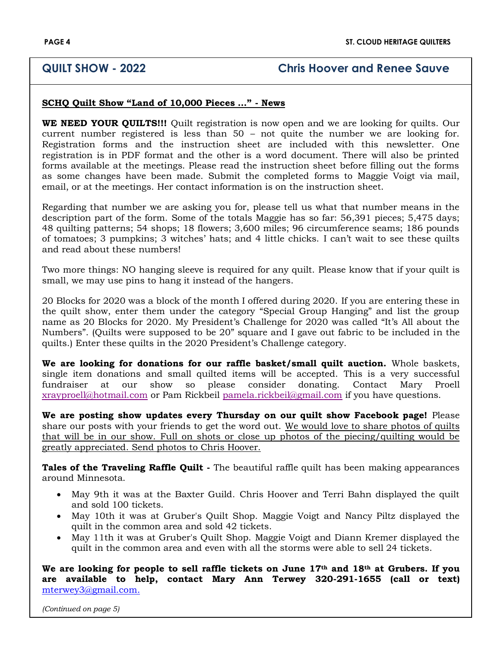#### **QUILT SHOW - 2022 Chris Hoover and Renee Sauve**

#### **SCHQ Quilt Show "Land of 10,000 Pieces …" - News**

**WE NEED YOUR QUILTS!!!** Quilt registration is now open and we are looking for quilts. Our current number registered is less than 50 – not quite the number we are looking for. Registration forms and the instruction sheet are included with this newsletter. One registration is in PDF format and the other is a word document. There will also be printed forms available at the meetings. Please read the instruction sheet before filling out the forms as some changes have been made. Submit the completed forms to Maggie Voigt via mail, email, or at the meetings. Her contact information is on the instruction sheet.

Regarding that number we are asking you for, please tell us what that number means in the description part of the form. Some of the totals Maggie has so far: 56,391 pieces; 5,475 days; 48 quilting patterns; 54 shops; 18 flowers; 3,600 miles; 96 circumference seams; 186 pounds of tomatoes; 3 pumpkins; 3 witches' hats; and 4 little chicks. I can't wait to see these quilts and read about these numbers!

Two more things: NO hanging sleeve is required for any quilt. Please know that if your quilt is small, we may use pins to hang it instead of the hangers.

20 Blocks for 2020 was a block of the month I offered during 2020. If you are entering these in the quilt show, enter them under the category "Special Group Hanging" and list the group name as 20 Blocks for 2020. My President's Challenge for 2020 was called "It's All about the Numbers". (Quilts were supposed to be 20" square and I gave out fabric to be included in the quilts.) Enter these quilts in the 2020 President's Challenge category.

**We are looking for donations for our raffle basket/small quilt auction.** Whole baskets, single item donations and small quilted items will be accepted. This is a very successful fundraiser at our show so please consider donating. Contact Mary Proell [xrayproell@hotmail.com](mailto:xrayproell@hotmail.com) or Pam Rickbeil [pamela.rickbeil@gmail.com](mailto:pamela.rickbeil@gmail.com) if you have questions.

**We are posting show updates every Thursday on our quilt show Facebook page!** Please share our posts with your friends to get the word out. We would love to share photos of quilts that will be in our show. Full on shots or close up photos of the piecing/quilting would be greatly appreciated. Send photos to Chris Hoover.

**Tales of the Traveling Raffle Quilt -** The beautiful raffle quilt has been making appearances around Minnesota.

- May 9th it was at the Baxter Guild. Chris Hoover and Terri Bahn displayed the quilt and sold 100 tickets.
- May 10th it was at Gruber's Quilt Shop. Maggie Voigt and Nancy Piltz displayed the quilt in the common area and sold 42 tickets.
- May 11th it was at Gruber's Quilt Shop. Maggie Voigt and Diann Kremer displayed the quilt in the common area and even with all the storms were able to sell 24 tickets.

**We are looking for people to sell raffle tickets on June 17th and 18th at Grubers. If you are available to help, contact Mary Ann Terwey 320-291-1655 (call or text)**  [mterwey3@gmail.com.](mailto:mterwey3@gmail.com)

*(Continued on page 5)*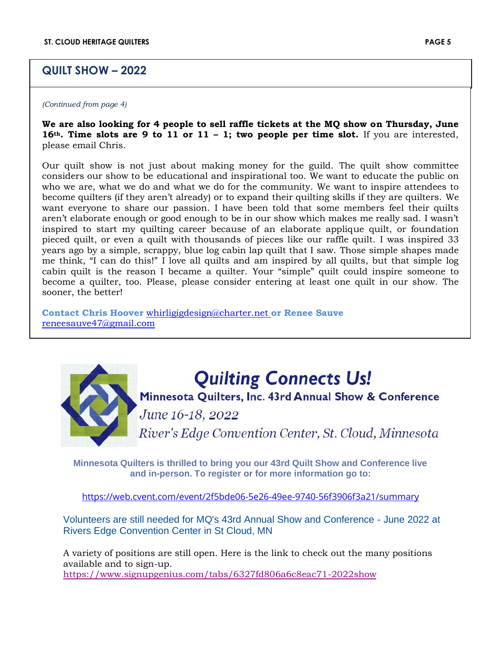#### **QUILT SHOW – 2022**

*(Continued from page 4)*

**We are also looking for 4 people to sell raffle tickets at the MQ show on Thursday, June 16th. Time slots are 9 to 11 or 11 – 1; two people per time slot.** If you are interested, please email Chris.

Our quilt show is not just about making money for the guild. The quilt show committee considers our show to be educational and inspirational too. We want to educate the public on who we are, what we do and what we do for the community. We want to inspire attendees to become quilters (if they aren't already) or to expand their quilting skills if they are quilters. We want everyone to share our passion. I have been told that some members feel their quilts aren't elaborate enough or good enough to be in our show which makes me really sad. I wasn't inspired to start my quilting career because of an elaborate applique quilt, or foundation pieced quilt, or even a quilt with thousands of pieces like our raffle quilt. I was inspired 33 years ago by a simple, scrappy, blue log cabin lap quilt that I saw. Those simple shapes made me think, "I can do this!" I love all quilts and am inspired by all quilts, but that simple log cabin quilt is the reason I became a quilter. Your "simple" quilt could inspire someone to become a quilter, too. Please, please consider entering at least one quilt in our show. The sooner, the better!

**Contact Chris Hoover** [whirligigdesign@charter.net](mailto:whirligigdesign@charter.net) **or Renee Sauve**  [reneesauve47@gmail.com](mailto:reneesauve47@gmail.com)



## **Quilting Connects Us!**

Minnesota Quilters, Inc. 43rd Annual Show & Conference

June 16-18, 2022

River's Edge Convention Center, St. Cloud, Minnesota

**Minnesota Quilters is thrilled to bring you our 43rd Quilt Show and Conference live and in-person. To register or for more information go to:**

<https://web.cvent.com/event/2f5bde06-5e26-49ee-9740-56f3906f3a21/summary>

Volunteers are still needed for MQ's 43rd Annual Show and Conference - June 2022 at Rivers Edge Convention Center in St Cloud, MN

A variety of positions are still open. Here is the link to check out the many positions available and to sign-up. <https://www.signupgenius.com/tabs/6327fd806a6c8eac71-2022show>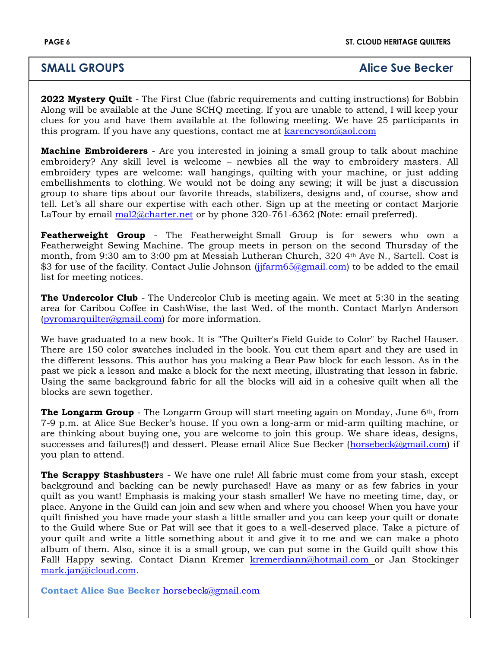#### **SMALL GROUPS Alice Sue Becker**

**2022 Mystery Quilt** - The First Clue (fabric requirements and cutting instructions) for Bobbin Along will be available at the June SCHQ meeting. If you are unable to attend, I will keep your clues for you and have them available at the following meeting. We have 25 participants in this program. If you have any questions, contact me at [karencyson@aol.com](mailto:karencyson@aol.com)

**Machine Embroiderers** - Are you interested in joining a small group to talk about machine embroidery? Any skill level is welcome – newbies all the way to embroidery masters. All embroidery types are welcome: wall hangings, quilting with your machine, or just adding embellishments to clothing. We would not be doing any sewing; it will be just a discussion group to share tips about our favorite threads, stabilizers, designs and, of course, show and tell. Let's all share our expertise with each other. Sign up at the meeting or contact Marjorie LaTour by email [mal2@charter.net](mailto:mal2@charter.net) or by phone 320-761-6362 (Note: email preferred).

**Featherweight Group** - The Featherweight Small Group is for sewers who own a Featherweight Sewing Machine. The group meets in person on the second Thursday of the month, from 9:30 am to 3:00 pm at Messiah Lutheran Church, 320 4th Ave N., Sartell. Cost is \$3 for use of the facility. Contact Julie Johnson (jifarm65@gmail.com) to be added to the email list for meeting notices.

**The Undercolor Club** - The Undercolor Club is meeting again. We meet at 5:30 in the seating area for Caribou Coffee in CashWise, the last Wed. of the month. Contact Marlyn Anderson [\(pyromarquilter@gmail.com\)](mailto:pyromarquilter@gmail.com) for more information.

We have graduated to a new book. It is "The Quilter's Field Guide to Color" by Rachel Hauser. There are 150 color swatches included in the book. You cut them apart and they are used in the different lessons. This author has you making a Bear Paw block for each lesson. As in the past we pick a lesson and make a block for the next meeting, illustrating that lesson in fabric. Using the same background fabric for all the blocks will aid in a cohesive quilt when all the blocks are sewn together.

**The Longarm Group** - The Longarm Group will start meeting again on Monday, June 6<sup>th</sup>, from 7-9 p.m. at Alice Sue Becker's house. If you own a long-arm or mid-arm quilting machine, or are thinking about buying one, you are welcome to join this group. We share ideas, designs, successes and failures(!) and dessert. Please email Alice Sue Becker [\(horsebeck@gmail.com\)](mailto:horsebeck@gmail.com) if you plan to attend.

**The Scrappy Stashbuster**s - We have one rule! All fabric must come from your stash, except background and backing can be newly purchased! Have as many or as few fabrics in your quilt as you want! Emphasis is making your stash smaller! We have no meeting time, day, or place. Anyone in the Guild can join and sew when and where you choose! When you have your quilt finished you have made your stash a little smaller and you can keep your quilt or donate to the Guild where Sue or Pat will see that it goes to a well-deserved place. Take a picture of your quilt and write a little something about it and give it to me and we can make a photo album of them. Also, since it is a small group, we can put some in the Guild quilt show this Fall! Happy sewing. Contact Diann Kremer [kremerdiann@hotmail.com](mailto:kremerdiann@hotmail.com) or Jan Stockinger [mark.jan@icloud.com.](mailto:mark.jan@icloud.com)

**Contact Alice Sue Becker** [horsebeck@gmail.com](mailto:horsebeck@gmail.com)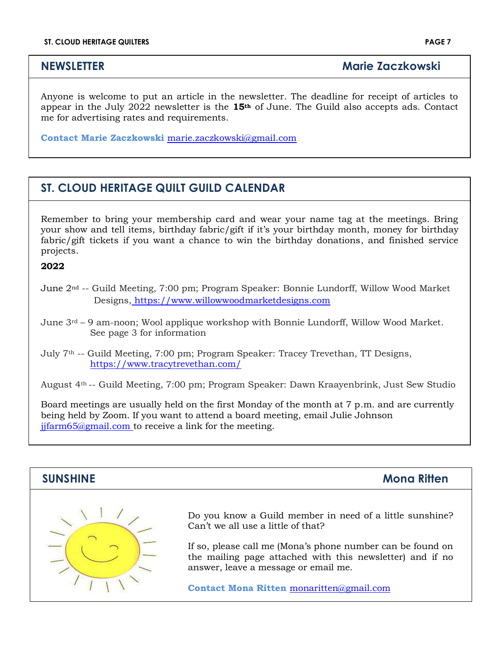**NEWSLETTER** Marie Zaczkowski

Anyone is welcome to put an article in the newsletter. The deadline for receipt of articles to appear in the July 2022 newsletter is the **15th** of June. The Guild also accepts ads. Contact me for advertising rates and requirements.

**Contact Marie Zaczkowski** [marie.](mailto:marie)zaczkowski@gmail.com

### **ST. CLOUD HERITAGE QUILT GUILD CALENDAR**

Remember to bring your membership card and wear your name tag at the meetings. Bring your show and tell items, birthday fabric/gift if it's your birthday month, money for birthday fabric/gift tickets if you want a chance to win the birthday donations, and finished service projects.

#### **2022**

June 2nd -- Guild Meeting, 7:00 pm; Program Speaker: Bonnie Lundorff, Willow Wood Market Designs, [https://www.willowwoodmarketdesigns.com](https://www.willowwoodmarketdesigns.com/)

June 3rd – 9 am-noon; Wool applique workshop with Bonnie Lundorff, Willow Wood Market. See page 3 for information

July 7th -- Guild Meeting, 7:00 pm; Program Speaker: Tracey Trevethan, TT Designs, <https://www.tracytrevethan.com/>

August 4th -- Guild Meeting, 7:00 pm; Program Speaker: Dawn Kraayenbrink, Just Sew Studio

Board meetings are usually held on the first Monday of the month at 7 p.m. and are currently being held by Zoom. If you want to attend a board meeting, email Julie Johnson [jjfarm65@gmail.com](mailto:jjfarm65@gmail.com) to receive a link for the meeting.

## **SUNSHINE** Mona Ritten Do you know a Guild member in need of a little sunshine? Can't we all use a little of that? If so, please call me (Mona's phone number can be found on the mailing page attached with this newsletter) and if no answer, leave a message or email me. **Contact Mona Ritten** [monaritten@gmail.com](mailto:monaritten@gmail.com)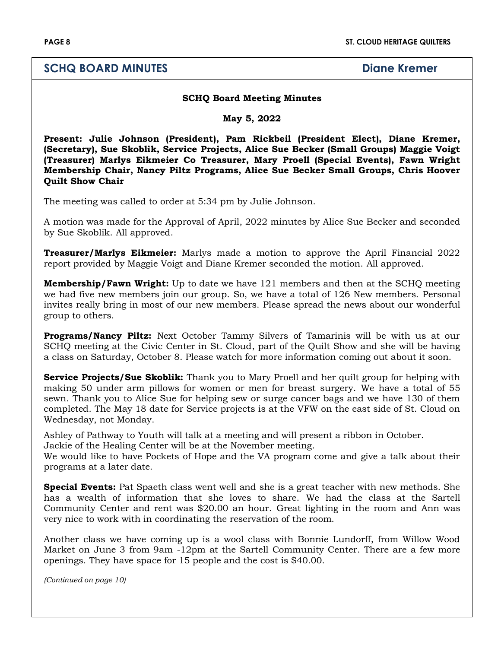#### **SCHQ BOARD MINUTES Diane Kremer**

#### **SCHQ Board Meeting Minutes**

**May 5, 2022**

**Present: Julie Johnson (President), Pam Rickbeil (President Elect), Diane Kremer, (Secretary), Sue Skoblik, Service Projects, Alice Sue Becker (Small Groups) Maggie Voigt (Treasurer) Marlys Eikmeier Co Treasurer, Mary Proell (Special Events), Fawn Wright Membership Chair, Nancy Piltz Programs, Alice Sue Becker Small Groups, Chris Hoover Quilt Show Chair**

The meeting was called to order at 5:34 pm by Julie Johnson.

A motion was made for the Approval of April, 2022 minutes by Alice Sue Becker and seconded by Sue Skoblik. All approved.

**Treasurer/Marlys Eikmeier:** Marlys made a motion to approve the April Financial 2022 report provided by Maggie Voigt and Diane Kremer seconded the motion. All approved.

**Membership/Fawn Wright:** Up to date we have 121 members and then at the SCHQ meeting we had five new members join our group. So, we have a total of 126 New members. Personal invites really bring in most of our new members. Please spread the news about our wonderful group to others.

**Programs/Nancy Piltz:** Next October Tammy Silvers of Tamarinis will be with us at our SCHQ meeting at the Civic Center in St. Cloud, part of the Quilt Show and she will be having a class on Saturday, October 8. Please watch for more information coming out about it soon.

**Service Projects/Sue Skoblik:** Thank you to Mary Proell and her quilt group for helping with making 50 under arm pillows for women or men for breast surgery. We have a total of 55 sewn. Thank you to Alice Sue for helping sew or surge cancer bags and we have 130 of them completed. The May 18 date for Service projects is at the VFW on the east side of St. Cloud on Wednesday, not Monday.

Ashley of Pathway to Youth will talk at a meeting and will present a ribbon in October.

Jackie of the Healing Center will be at the November meeting.

We would like to have Pockets of Hope and the VA program come and give a talk about their programs at a later date.

**Special Events:** Pat Spaeth class went well and she is a great teacher with new methods. She has a wealth of information that she loves to share. We had the class at the Sartell Community Center and rent was \$20.00 an hour. Great lighting in the room and Ann was very nice to work with in coordinating the reservation of the room.

Another class we have coming up is a wool class with Bonnie Lundorff, from Willow Wood Market on June 3 from 9am -12pm at the Sartell Community Center. There are a few more openings. They have space for 15 people and the cost is \$40.00.

*(Continued on page 10)*